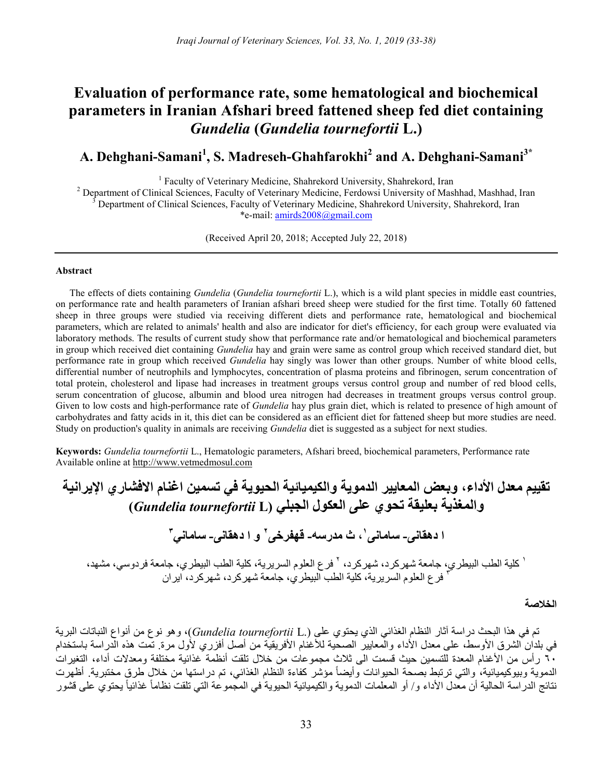# Evaluation of performance rate, some hematological and biochemical parameters in Iranian Afshari breed fattened sheep fed diet containing Gundelia (Gundelia tournefortii L.)

# A. Dehghani-Samani $^{\rm 1}$ , S. Madreseh-Ghahfarokhi $^{\rm 2}$  and A. Dehghani-Samani $^{\rm 3^{\ast}}$

<sup>1</sup> Faculty of Veterinary Medicine, Shahrekord University, Shahrekord, Iran

<sup>2</sup> Department of Clinical Sciences, Faculty of Veterinary Medicine, Ferdowsi University of Mashhad, Mashhad, Iran 3 Department of Clinical Sciences, Faculty of Veterinary Medicine, Shahrekord University, Shahrekord, Iran \*e-mail: amirds2008@gmail.com

(Received April 20, 2018; Accepted July 22, 2018)

## Abstract

The effects of diets containing *Gundelia (Gundelia tournefortii L.*), which is a wild plant species in middle east countries, on performance rate and health parameters of Iranian afshari breed sheep were studied for the first time. Totally 60 fattened sheep in three groups were studied via receiving different diets and performance rate, hematological and biochemical parameters, which are related to animals' health and also are indicator for diet's efficiency, for each group were evaluated via laboratory methods. The results of current study show that performance rate and/or hematological and biochemical parameters in group which received diet containing *Gundelia* hay and grain were same as control group which received standard diet, but performance rate in group which received Gundelia hay singly was lower than other groups. Number of white blood cells, differential number of neutrophils and lymphocytes, concentration of plasma proteins and fibrinogen, serum concentration of total protein, cholesterol and lipase had increases in treatment groups versus control group and number of red blood cells, serum concentration of glucose, albumin and blood urea nitrogen had decreases in treatment groups versus control group. Given to low costs and high-performance rate of Gundelia hay plus grain diet, which is related to presence of high amount of carbohydrates and fatty acids in it, this diet can be considered as an efficient diet for fattened sheep but more studies are need. Study on production's quality in animals are receiving *Gundelia* diet is suggested as a subject for next studies.

Keywords: Gundelia tournefortii L., Hematologic parameters, Afshari breed, biochemical parameters, Performance rate Available online at http://www.vetmedmosul.com

تقييم معدل الأداء، وبعض المعايير الدموية والكيميائية الحيوية في تسمين اغنام الافشاري الإيرانية والمغذية بعليقة تحوي على العكول الجبلي (L tournefortii Gundelia( ، ث مدرسه- قهفرخی <sup>١</sup> ا دهقانی- سامانی و ا دهقانی- ساماني <sup>٢</sup> ٣ ١ ٢ كلية الطب البيطري، جامعة شهركرد، شهركرد، فرع العلوم السريرية، كلية الطب البيطري، جامعة فردوسي، مشهد، فرع العلوم السريرية، كلية الطب البيطري، جامعة شهركرد، شهركرد، ايران <sup>٣</sup>

الخلاصة

تم في هذا البحث دراسة آثار النظام الغذائي الذي يحتوي على (.Gundelia tournefortii L)، وهو نوع من أنواع النباتات البرية في بلدان الشرق الأوسط، على معدل الأداء والمعايير الصحية للأغنام الأفريقية من أصل أفزري لأول مرة. تمت هذه الدراسة باستخدام ٦٠ رأس من الأغنام المعدة للتسمين حيث قسمت الى ثلاث مجموعات من خلال تلقت أنظمة غذائية مختلفة ومعدلات أداء، التغيرات الدموية وبيوكيميائية، والتي ترتبط بصحة الحيوانات وأيضاً مؤشر كفاءة النظام الغذائي، تم در استها من خلال طرق مختبرية. أظهرت نتائج الدراسة الحالية أن معدل الأداء و/ أو المعلمات الدموية والكيميائية الحيوية في المجموعة التي تلقت نظاماً غذائياً يحتوي على قشور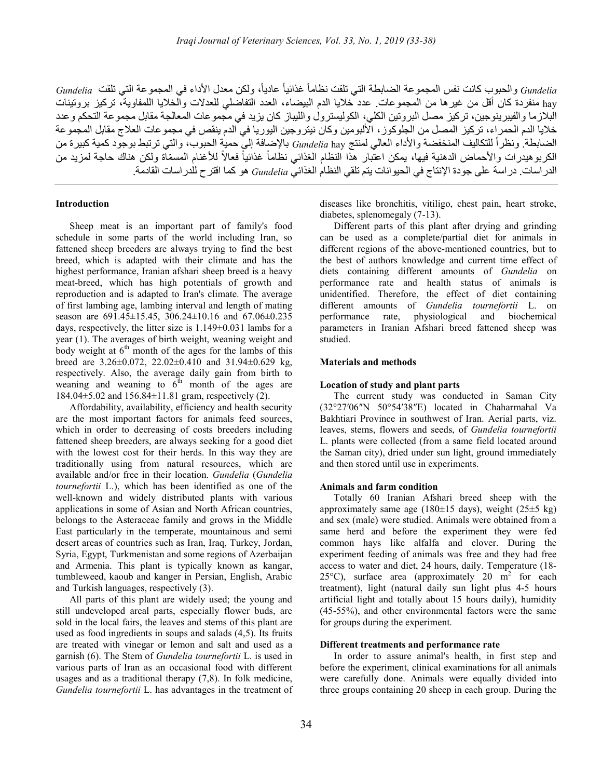Gundelia والحبوب كانت نفس المجموعة الضابطة التي تلقت نظاماً غذائياً عاديا،ً ولكن معدل الأداء في المجموعة التي تلقت Gundelia hay منفردة كان أقل من غيرها من المجموعات. عدد خلايا الدم البيضاء، العدد التفاضلي للعدلات والخلايا اللمفاوية، تركيز بروتينات البلازما والفيبرينوجين، تركيز مصل البروتين الكلي، الكوليسترول والليباز كان يزيد في مجموعات المعالجة مقابل مجموعة التحكم وعدد خلايا الدم الحمراء، تركيز المصل من الجلوكوز، الألبومين وكان نيتروجين اليوريا في الدم ينقص في مجموعات العلاج مقابل المجموعة الضابطة. ونظراً للتكاليف المنخفضة والأداء العالي لمنتج Gundelia hay بالإضافة إلى حمية الحبوب، والتي ترتبط بوجود كمية كبيرة من الكربوهيدرات والأحماض الدهنية فيها، يمكن اعتُبار هذا النظام الغذائي نظاماً غذائياً فعالاً للأغنام المسمّاة ولكن هناك حاجة لمزيد من الدراسات. دراسة على جودة الإنتاج في الحيوانات يتم تلقي النظام الغذائي Gundelia هو كما اقترح للدراسات القادمة.

## Introduction

Sheep meat is an important part of family's food schedule in some parts of the world including Iran, so fattened sheep breeders are always trying to find the best breed, which is adapted with their climate and has the highest performance, Iranian afshari sheep breed is a heavy meat-breed, which has high potentials of growth and reproduction and is adapted to Iran's climate. The average of first lambing age, lambing interval and length of mating season are 691.45±15.45, 306.24±10.16 and 67.06±0.235 days, respectively, the litter size is 1.149±0.031 lambs for a year (1). The averages of birth weight, weaning weight and body weight at  $6<sup>th</sup>$  month of the ages for the lambs of this breed are 3.26±0.072, 22.02±0.410 and 31.94±0.629 kg, respectively. Also, the average daily gain from birth to weaning and weaning to  $6<sup>th</sup>$  month of the ages are 184.04±5.02 and 156.84±11.81 gram, respectively (2).

Affordability, availability, efficiency and health security are the most important factors for animals feed sources, which in order to decreasing of costs breeders including fattened sheep breeders, are always seeking for a good diet with the lowest cost for their herds. In this way they are traditionally using from natural resources, which are available and/or free in their location. Gundelia (Gundelia tournefortii L.), which has been identified as one of the well-known and widely distributed plants with various applications in some of Asian and North African countries, belongs to the Asteraceae family and grows in the Middle East particularly in the temperate, mountainous and semi desert areas of countries such as Iran, Iraq, Turkey, Jordan, Syria, Egypt, Turkmenistan and some regions of Azerbaijan and Armenia. This plant is typically known as kangar, tumbleweed, kaoub and kanger in Persian, English, Arabic and Turkish languages, respectively (3).

All parts of this plant are widely used; the young and still undeveloped areal parts, especially flower buds, are sold in the local fairs, the leaves and stems of this plant are used as food ingredients in soups and salads (4,5). Its fruits are treated with vinegar or lemon and salt and used as a garnish (6). The Stem of Gundelia tournefortii L. is used in various parts of Iran as an occasional food with different usages and as a traditional therapy (7,8). In folk medicine, Gundelia tournefortii L. has advantages in the treatment of diseases like bronchitis, vitiligo, chest pain, heart stroke, diabetes, splenomegaly (7-13).

Different parts of this plant after drying and grinding can be used as a complete/partial diet for animals in different regions of the above-mentioned countries, but to the best of authors knowledge and current time effect of diets containing different amounts of Gundelia on performance rate and health status of animals is unidentified. Therefore, the effect of diet containing different amounts of Gundelia tournefortii L. on performance rate, physiological and biochemical parameters in Iranian Afshari breed fattened sheep was studied.

## Materials and methods

### Location of study and plant parts

The current study was conducted in Saman City (32°27′06″N 50°54′38″E) located in Chaharmahal Va Bakhtiari Province in southwest of Iran. Aerial parts, viz. leaves, stems, flowers and seeds, of Gundelia tournefortii L. plants were collected (from a same field located around the Saman city), dried under sun light, ground immediately and then stored until use in experiments.

#### Animals and farm condition

Totally 60 Iranian Afshari breed sheep with the approximately same age (180 $\pm$ 15 days), weight (25 $\pm$ 5 kg) and sex (male) were studied. Animals were obtained from a same herd and before the experiment they were fed common hays like alfalfa and clover. During the experiment feeding of animals was free and they had free access to water and diet, 24 hours, daily. Temperature (18- 25 $\degree$ C), surface area (approximately 20 m<sup>2</sup> for each treatment), light (natural daily sun light plus 4-5 hours artificial light and totally about 15 hours daily), humidity (45-55%), and other environmental factors were the same for groups during the experiment.

#### Different treatments and performance rate

In order to assure animal's health, in first step and before the experiment, clinical examinations for all animals were carefully done. Animals were equally divided into three groups containing 20 sheep in each group. During the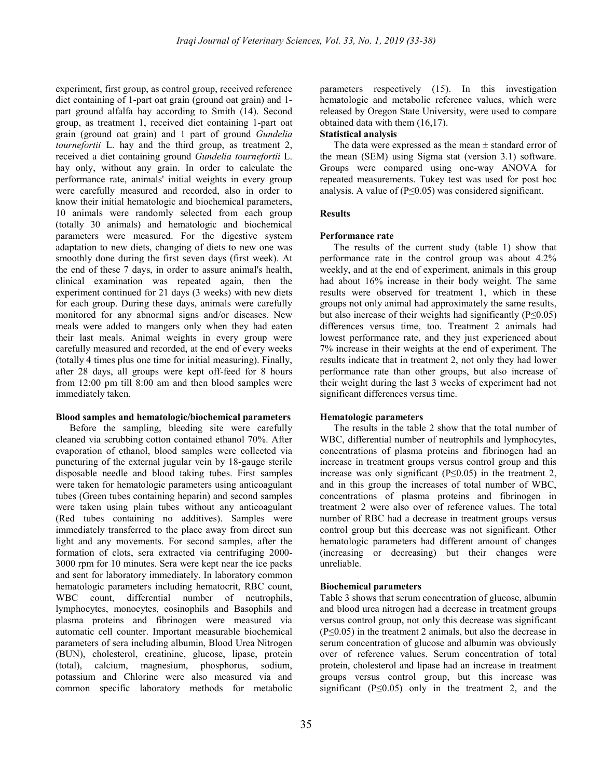experiment, first group, as control group, received reference diet containing of 1-part oat grain (ground oat grain) and 1 part ground alfalfa hay according to Smith (14). Second group, as treatment 1, received diet containing 1-part oat grain (ground oat grain) and 1 part of ground Gundelia tournefortii L. hay and the third group, as treatment 2, received a diet containing ground Gundelia tournefortii L. hay only, without any grain. In order to calculate the performance rate, animals' initial weights in every group were carefully measured and recorded, also in order to know their initial hematologic and biochemical parameters, 10 animals were randomly selected from each group (totally 30 animals) and hematologic and biochemical parameters were measured. For the digestive system adaptation to new diets, changing of diets to new one was smoothly done during the first seven days (first week). At the end of these 7 days, in order to assure animal's health, clinical examination was repeated again, then the experiment continued for 21 days (3 weeks) with new diets for each group. During these days, animals were carefully monitored for any abnormal signs and/or diseases. New meals were added to mangers only when they had eaten their last meals. Animal weights in every group were carefully measured and recorded, at the end of every weeks (totally 4 times plus one time for initial measuring). Finally, after 28 days, all groups were kept off-feed for 8 hours from 12:00 pm till 8:00 am and then blood samples were immediately taken.

### Blood samples and hematologic/biochemical parameters

Before the sampling, bleeding site were carefully cleaned via scrubbing cotton contained ethanol 70%. After evaporation of ethanol, blood samples were collected via puncturing of the external jugular vein by 18-gauge sterile disposable needle and blood taking tubes. First samples were taken for hematologic parameters using anticoagulant tubes (Green tubes containing heparin) and second samples were taken using plain tubes without any anticoagulant (Red tubes containing no additives). Samples were immediately transferred to the place away from direct sun light and any movements. For second samples, after the formation of clots, sera extracted via centrifuging 2000- 3000 rpm for 10 minutes. Sera were kept near the ice packs and sent for laboratory immediately. In laboratory common hematologic parameters including hematocrit, RBC count, WBC count, differential number of neutrophils, lymphocytes, monocytes, eosinophils and Basophils and plasma proteins and fibrinogen were measured via automatic cell counter. Important measurable biochemical parameters of sera including albumin, Blood Urea Nitrogen (BUN), cholesterol, creatinine, glucose, lipase, protein (total), calcium, magnesium, phosphorus, sodium, potassium and Chlorine were also measured via and common specific laboratory methods for metabolic

parameters respectively (15). In this investigation hematologic and metabolic reference values, which were released by Oregon State University, were used to compare obtained data with them (16,17).

## Statistical analysis

The data were expressed as the mean  $\pm$  standard error of the mean (SEM) using Sigma stat (version 3.1) software. Groups were compared using one-way ANOVA for repeated measurements. Tukey test was used for post hoc analysis. A value of  $(P \le 0.05)$  was considered significant.

## Results

## Performance rate

The results of the current study (table 1) show that performance rate in the control group was about 4.2% weekly, and at the end of experiment, animals in this group had about 16% increase in their body weight. The same results were observed for treatment 1, which in these groups not only animal had approximately the same results, but also increase of their weights had significantly (P≤0.05) differences versus time, too. Treatment 2 animals had lowest performance rate, and they just experienced about 7% increase in their weights at the end of experiment. The results indicate that in treatment 2, not only they had lower performance rate than other groups, but also increase of their weight during the last 3 weeks of experiment had not significant differences versus time.

## Hematologic parameters

The results in the table 2 show that the total number of WBC, differential number of neutrophils and lymphocytes, concentrations of plasma proteins and fibrinogen had an increase in treatment groups versus control group and this increase was only significant ( $P \le 0.05$ ) in the treatment 2, and in this group the increases of total number of WBC, concentrations of plasma proteins and fibrinogen in treatment 2 were also over of reference values. The total number of RBC had a decrease in treatment groups versus control group but this decrease was not significant. Other hematologic parameters had different amount of changes (increasing or decreasing) but their changes were unreliable.

## Biochemical parameters

Table 3 shows that serum concentration of glucose, albumin and blood urea nitrogen had a decrease in treatment groups versus control group, not only this decrease was significant (P≤0.05) in the treatment 2 animals, but also the decrease in serum concentration of glucose and albumin was obviously over of reference values. Serum concentration of total protein, cholesterol and lipase had an increase in treatment groups versus control group, but this increase was significant  $(P \le 0.05)$  only in the treatment 2, and the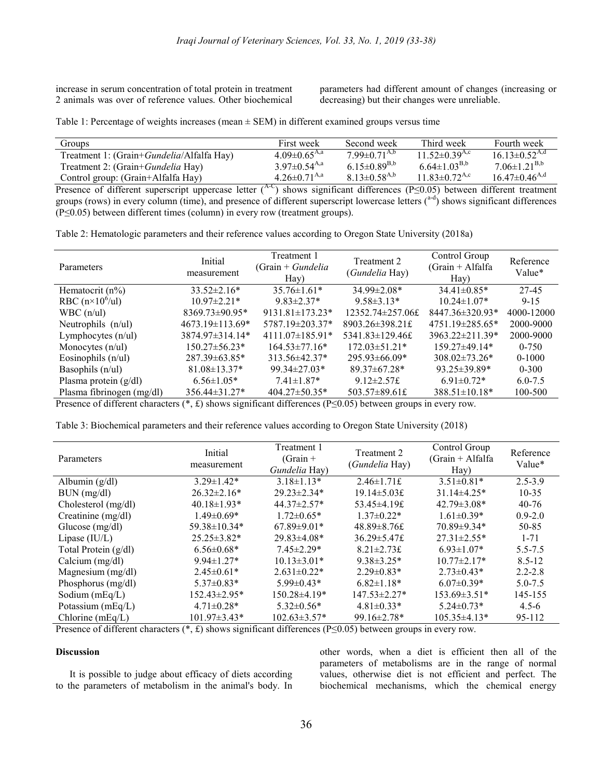increase in serum concentration of total protein in treatment 2 animals was over of reference values. Other biochemical

parameters had different amount of changes (increasing or decreasing) but their changes were unreliable.

Table 1: Percentage of weights increases (mean  $\pm$  SEM) in different examined groups versus time

| Groups                                             | First week            | Second week                    | Third week                      | Fourth week                     |
|----------------------------------------------------|-----------------------|--------------------------------|---------------------------------|---------------------------------|
| Treatment 1: (Grain+ <i>Gundelia</i> /Alfalfa Hay) | $4.09 \pm 0.65^{A,a}$ | $7.99 \pm 0.71^{A,b}$          | $11.52 \pm 0.39$ <sup>A,c</sup> | $16.13 \pm 0.52$ <sup>A,d</sup> |
| Treatment 2: (Grain+ <i>Gundelia</i> Hay)          | $3.97 \pm 0.54^{A,a}$ | 6.15 $\pm$ 0.89 <sup>B,b</sup> | $6.64 \pm 1.03^{B,b}$           | $7.06\pm1.21^{B,b}$             |
| Control group: (Grain+Alfalfa Hay)                 | $4.26 \pm 0.71^{A,a}$ | $8.13 \pm 0.58$ <sup>A,b</sup> | $11.83 \pm 0.72$ <sup>A,c</sup> | $16.47 \pm 0.46$ <sup>A,d</sup> |

Presence of different superscript uppercase letter (<sup>A-C</sup>) shows significant differences (P≤0.05) between different treatment groups (rows) in every column (time), and presence of different superscript lowercase letters  $(^{a-d})$  shows significant differences (P≤0.05) between different times (column) in every row (treatment groups).

Table 2: Hematologic parameters and their reference values according to Oregon State University (2018a)

| Parameters                | Initial<br>measurement | Treatment 1<br>$(Grain + Gundelia)$<br>Hay) | Treatment 2<br>(Gundelia Hay) | Control Group<br>$(Grain + Alfalfa)$<br>$\text{Hay}$ | Reference<br>Value* |
|---------------------------|------------------------|---------------------------------------------|-------------------------------|------------------------------------------------------|---------------------|
| Hematocrit $(n\%)$        | $33.52 \pm 2.16*$      | $35.76\pm1.61*$                             | 34.99±2.08*                   | $34.41\pm0.85*$                                      | 27-45               |
| RBC $(n \times 10^6$ /ul) | $10.97 \pm 2.21*$      | $9.83 \pm 2.37*$                            | $9.58\pm3.13*$                | $10.24 \pm 1.07*$                                    | $9 - 15$            |
| $WBC$ (n/ul)              | $8369.73 \pm 90.95*$   | $9131.81 \pm 173.23*$                       | 12352.74±257.06£              | $8447.36 \pm 320.93*$                                | 4000-12000          |
| Neutrophils $(n/u)$       | $4673.19 \pm 113.69*$  | 5787.19±203.37*                             | 8903.26±398.21£               | $4751.19 \pm 285.65*$                                | 2000-9000           |
| Lymphocytes $(n/u)$       | 3874.97±314.14*        | $4111.07\pm185.91*$                         | $5341.83 \pm 129.46$ £        | $3963.22 \pm 211.39*$                                | 2000-9000           |
| Monocytes $(n/u)$         | $150.27 \pm 56.23*$    | $164.53 \pm 77.16*$                         | $172.03 \pm 51.21*$           | $159.27\pm49.14*$                                    | $0 - 750$           |
| Eosinophils $(n/u)$       | $287.39 \pm 63.85*$    | $313.56\pm42.37*$                           | $295.93\pm 66.09*$            | $308.02 \pm 73.26*$                                  | $0-1000$            |
| Basophils $(n/u)$         | $81.08 \pm 13.37*$     | 99.34±27.03*                                | $89.37 \pm 67.28*$            | $93.25 \pm 39.89*$                                   | $0 - 300$           |
| Plasma protein $(g/dl)$   | $6.56 \pm 1.05*$       | $7.41 \pm 1.87*$                            | 9.12 $\pm$ 2.57£              | $6.91 \pm 0.72$ *                                    | $6.0 - 7.5$         |
| Plasma fibrinogen (mg/dl) | $356.44 \pm 31.27$ *   | $404.27 \pm 50.35*$                         | 503.57±89.61£                 | $388.51 \pm 10.18*$                                  | 100-500             |

Presence of different characters (\*, £) shows significant differences (P≤0.05) between groups in every row.

| Table 3: Biochemical parameters and their reference values according to Oregon State University (2018) |  |  |  |
|--------------------------------------------------------------------------------------------------------|--|--|--|
|                                                                                                        |  |  |  |

| Parameters           | Initial<br>measurement | Treatment 1<br>$(Grain +$<br>Gundelia Hay) | Treatment 2<br>(Gundelia Hay) | Control Group<br>$(Grain + Alfalfa)$<br>$\text{Hay}$ | Reference<br>Value* |
|----------------------|------------------------|--------------------------------------------|-------------------------------|------------------------------------------------------|---------------------|
| Albumin $(g/dl)$     | $3.29 \pm 1.42*$       | $3.18\pm1.13*$                             | $2.46 \pm 1.71$ £             | $3.51 \pm 0.81*$                                     | $2.5 - 3.9$         |
| BUN (mg/dl)          | $26.32 \pm 2.16*$      | $29.23 \pm 2.34*$                          | $19.14 \pm 5.03$ £            | $31.14\pm4.25*$                                      | $10 - 35$           |
| Cholesterol (mg/dl)  | $40.18 \pm 1.93*$      | $44.37 \pm 2.57*$                          | 53.45±4.19£                   | $42.79 \pm 3.08*$                                    | $40 - 76$           |
| Creatinine (mg/dl)   | $1.49 \pm 0.69*$       | $1.72 \pm 0.65*$                           | $1.37\pm0.22*$                | $1.61 \pm 0.39*$                                     | $0.9 - 2.0$         |
| Glucose $(mg/dl)$    | 59.38±10.34*           | $67.89 \pm 9.01*$                          | $48.89 \pm 8.76$ £            | 70.89±9.34*                                          | 50-85               |
| Lipase $(IU/L)$      | $25.25 \pm 3.82*$      | $29.83\pm4.08*$                            | $36.29 \pm 5.47$ £            | $27.31 \pm 2.55*$                                    | $1 - 71$            |
| Total Protein (g/dl) | $6.56 \pm 0.68*$       | $7.45 \pm 2.29*$                           | $8.21 \pm 2.73$ £             | $6.93 \pm 1.07*$                                     | $5.5 - 7.5$         |
| Calcium (mg/dl)      | $9.94 \pm 1.27$ *      | $10.13 \pm 3.01*$                          | $9.38\pm3.25*$                | $10.77 \pm 2.17*$                                    | $8.5 - 12$          |
| Magnesium $(mg/dl)$  | $2.45 \pm 0.61*$       | $2.631 \pm 0.22$ *                         | $2.29 \pm 0.83*$              | $2.73 \pm 0.43*$                                     | $2.2 - 2.8$         |
| Phosphorus $(mg/dl)$ | $5.37 \pm 0.83*$       | $5.99 \pm 0.43*$                           | $6.82\pm1.18*$                | $6.07\pm0.39*$                                       | $5.0 - 7.5$         |
| Sodium $(mEq/L)$     | 152.43±2.95*           | 150.28±4.19*                               | $147.53 \pm 2.27*$            | $153.69 \pm 3.51^*$                                  | 145-155             |
| Potassium (mEq/L)    | $4.71 \pm 0.28*$       | $5.32 \pm 0.56*$                           | $4.81 \pm 0.33*$              | $5.24 \pm 0.73*$                                     | $4.5 - 6$           |
| Chlorine $(mEq/L)$   | $101.97 \pm 3.43*$     | $102.63 \pm 3.57*$                         | $99.16 \pm 2.78$ *            | 105.35±4.13*                                         | 95-112              |

Presence of different characters (\*, £) shows significant differences (P≤0.05) between groups in every row.

## **Discussion**

It is possible to judge about efficacy of diets according to the parameters of metabolism in the animal's body. In other words, when a diet is efficient then all of the parameters of metabolisms are in the range of normal values, otherwise diet is not efficient and perfect. The biochemical mechanisms, which the chemical energy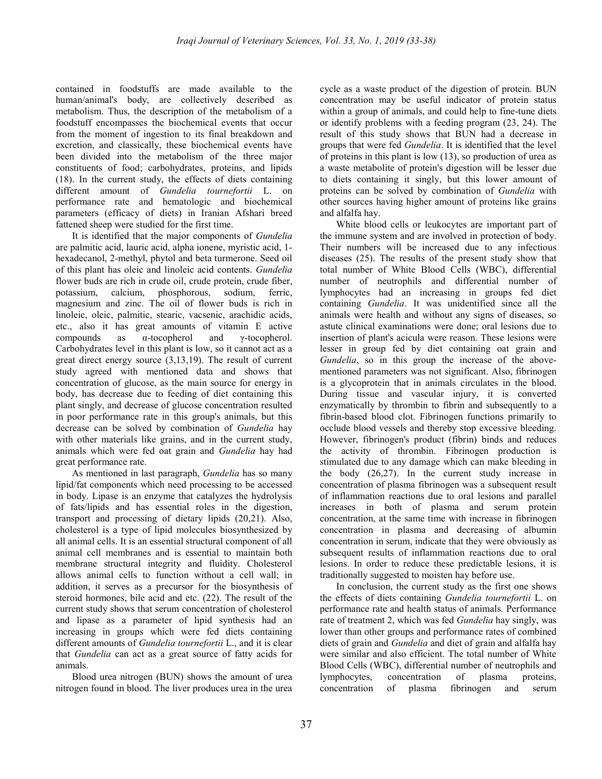contained in foodstuffs are made available to the human/animal's body, are collectively described as metabolism. Thus, the description of the metabolism of a foodstuff encompasses the biochemical events that occur from the moment of ingestion to its final breakdown and excretion, and classically, these biochemical events have been divided into the metabolism of the three major constituents of food; carbohydrates, proteins, and lipids (18). In the current study, the effects of diets containing different amount of Gundelia tournefortii L. on performance rate and hematologic and biochemical parameters (efficacy of diets) in Iranian Afshari breed fattened sheep were studied for the first time.

It is identified that the major components of *Gundelia* are palmitic acid, lauric acid, alpha ionene, myristic acid, 1 hexadecanol, 2-methyl, phytol and beta turmerone. Seed oil of this plant has oleic and linoleic acid contents. Gundelia flower buds are rich in crude oil, crude protein, crude fiber, potassium, calcium, phosphorous, sodium, ferric, magnesium and zinc. The oil of flower buds is rich in linoleic, oleic, palmitic, stearic, vacsenic, arachidic acids, etc., also it has great amounts of vitamin E active compounds as α-tocopherol and γ-tocopherol. Carbohydrates level in this plant is low, so it cannot act as a great direct energy source (3,13,19). The result of current study agreed with mentioned data and shows that concentration of glucose, as the main source for energy in body, has decrease due to feeding of diet containing this plant singly, and decrease of glucose concentration resulted in poor performance rate in this group's animals, but this decrease can be solved by combination of Gundelia hay with other materials like grains, and in the current study, animals which were fed oat grain and Gundelia hay had great performance rate.

As mentioned in last paragraph, Gundelia has so many lipid/fat components which need processing to be accessed in body. Lipase is an enzyme that catalyzes the hydrolysis of fats/lipids and has essential roles in the digestion, transport and processing of dietary lipids (20,21). Also, cholesterol is a type of lipid molecules biosynthesized by all animal cells. It is an essential structural component of all animal cell membranes and is essential to maintain both membrane structural integrity and fluidity. Cholesterol allows animal cells to function without a cell wall; in addition, it serves as a precursor for the biosynthesis of steroid hormones, bile acid and etc. (22). The result of the current study shows that serum concentration of cholesterol and lipase as a parameter of lipid synthesis had an increasing in groups which were fed diets containing different amounts of Gundelia tournefortii L., and it is clear that Gundelia can act as a great source of fatty acids for animals.

 Blood urea nitrogen (BUN) shows the amount of urea nitrogen found in blood. The liver produces urea in the urea

cycle as a waste product of the digestion of protein. BUN concentration may be useful indicator of protein status within a group of animals, and could help to fine-tune diets or identify problems with a feeding program (23, 24). The result of this study shows that BUN had a decrease in groups that were fed Gundelia. It is identified that the level of proteins in this plant is low (13), so production of urea as a waste metabolite of protein's digestion will be lesser due to diets containing it singly, but this lower amount of proteins can be solved by combination of Gundelia with other sources having higher amount of proteins like grains and alfalfa hay.

 White blood cells or leukocytes are important part of the immune system and are involved in protection of body. Their numbers will be increased due to any infectious diseases (25). The results of the present study show that total number of White Blood Cells (WBC), differential number of neutrophils and differential number of lymphocytes had an increasing in groups fed diet containing Gundelia. It was unidentified since all the animals were health and without any signs of diseases, so astute clinical examinations were done; oral lesions due to insertion of plant's acicula were reason. These lesions were lesser in group fed by diet containing oat grain and Gundelia, so in this group the increase of the abovementioned parameters was not significant. Also, fibrinogen is a glycoprotein that in animals circulates in the blood. During tissue and vascular injury, it is converted enzymatically by thrombin to fibrin and subsequently to a fibrin-based blood clot. Fibrinogen functions primarily to occlude blood vessels and thereby stop excessive bleeding. However, fibrinogen's product (fibrin) binds and reduces the activity of thrombin. Fibrinogen production is stimulated due to any damage which can make bleeding in the body (26,27). In the current study increase in concentration of plasma fibrinogen was a subsequent result of inflammation reactions due to oral lesions and parallel increases in both of plasma and serum protein concentration, at the same time with increase in fibrinogen concentration in plasma and decreasing of albumin concentration in serum, indicate that they were obviously as subsequent results of inflammation reactions due to oral lesions. In order to reduce these predictable lesions, it is traditionally suggested to moisten hay before use.

 In conclusion, the current study as the first one shows the effects of diets containing Gundelia tournefortii L. on performance rate and health status of animals. Performance rate of treatment 2, which was fed Gundelia hay singly, was lower than other groups and performance rates of combined diets of grain and Gundelia and diet of grain and alfalfa hay were similar and also efficient. The total number of White Blood Cells (WBC), differential number of neutrophils and lymphocytes, concentration of plasma proteins, concentration of plasma fibrinogen and serum